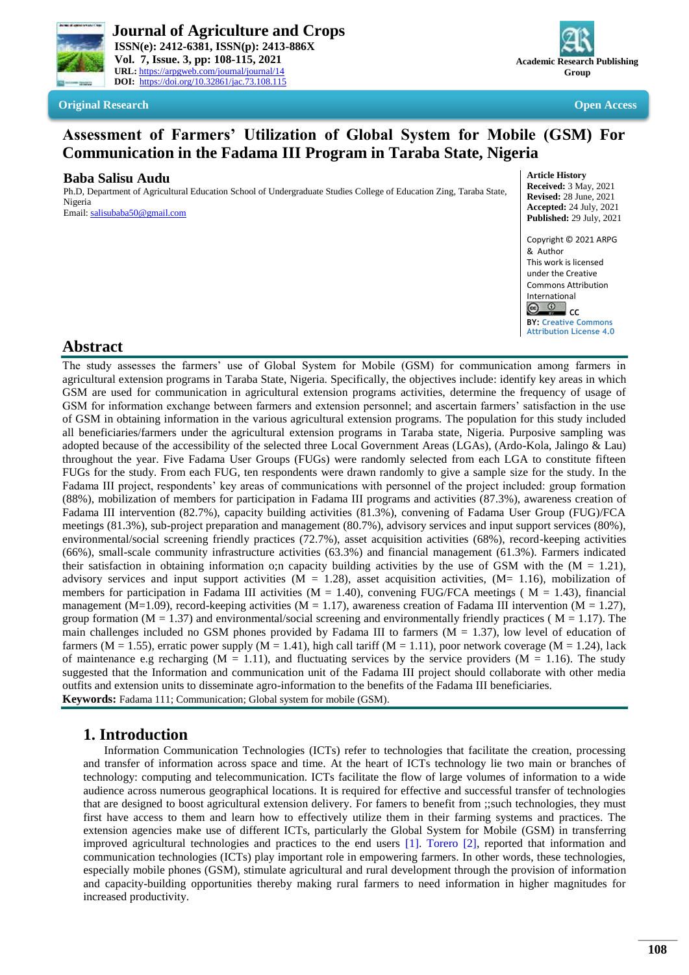



**Original Research Company Company Company Company Company Company Company Company Company Company Company Company** 

# **Assessment of Farmers' Utilization of Global System for Mobile (GSM) For Communication in the Fadama III Program in Taraba State, Nigeria**

### **Baba Salisu Audu**

Ph.D, Department of Agricultural Education School of Undergraduate Studies College of Education Zing, Taraba State, Nigeria

Email[: salisubaba50@gmail.com](mailto:salisubaba50@gmail.com)

**Article History Received:** 3 May, 2021 **Revised:** 28 June, 2021 **Accepted:** 24 July, 2021 **Published:** 29 July, 2021 Copyright © 2021 ARPG & Author This work is licensed under the Creative Commons Attribution

International **CC** 

**BY: [Creative Commons](https://creativecommons.org/licenses/by/4.0/)** 

**[Attribution License 4.0](https://creativecommons.org/licenses/by/4.0/)**

## **Abstract**

The study assesses the farmers' use of Global System for Mobile (GSM) for communication among farmers in agricultural extension programs in Taraba State, Nigeria. Specifically, the objectives include: identify key areas in which GSM are used for communication in agricultural extension programs activities, determine the frequency of usage of GSM for information exchange between farmers and extension personnel; and ascertain farmers' satisfaction in the use of GSM in obtaining information in the various agricultural extension programs. The population for this study included all beneficiaries/farmers under the agricultural extension programs in Taraba state, Nigeria. Purposive sampling was adopted because of the accessibility of the selected three Local Government Areas (LGAs), (Ardo-Kola, Jalingo & Lau) throughout the year. Five Fadama User Groups (FUGs) were randomly selected from each LGA to constitute fifteen FUGs for the study. From each FUG, ten respondents were drawn randomly to give a sample size for the study. In the Fadama III project, respondents' key areas of communications with personnel of the project included: group formation (88%), mobilization of members for participation in Fadama III programs and activities (87.3%), awareness creation of Fadama III intervention (82.7%), capacity building activities (81.3%), convening of Fadama User Group (FUG)/FCA meetings (81.3%), sub-project preparation and management (80.7%), advisory services and input support services (80%), environmental/social screening friendly practices (72.7%), asset acquisition activities (68%), record-keeping activities (66%), small-scale community infrastructure activities (63.3%) and financial management (61.3%). Farmers indicated their satisfaction in obtaining information o;n capacity building activities by the use of GSM with the  $(M = 1.21)$ , advisory services and input support activities  $(M = 1.28)$ , asset acquisition activities,  $(M = 1.16)$ , mobilization of members for participation in Fadama III activities ( $M = 1.40$ ), convening FUG/FCA meetings ( $M = 1.43$ ), financial management (M=1.09), record-keeping activities (M = 1.17), awareness creation of Fadama III intervention (M = 1.27), group formation ( $M = 1.37$ ) and environmental/social screening and environmentally friendly practices ( $M = 1.17$ ). The main challenges included no GSM phones provided by Fadama III to farmers  $(M = 1.37)$ , low level of education of farmers ( $M = 1.55$ ), erratic power supply ( $M = 1.41$ ), high call tariff ( $M = 1.11$ ), poor network coverage ( $M = 1.24$ ), lack of maintenance e.g recharging  $(M = 1.11)$ , and fluctuating services by the service providers  $(M = 1.16)$ . The study suggested that the Information and communication unit of the Fadama III project should collaborate with other media outfits and extension units to disseminate agro-information to the benefits of the Fadama III beneficiaries. **Keywords:** Fadama 111; Communication; Global system for mobile (GSM).

## **1. Introduction**

Information Communication Technologies (ICTs) refer to technologies that facilitate the creation, processing and transfer of information across space and time. At the heart of ICTs technology lie two main or branches of technology: computing and telecommunication. ICTs facilitate the flow of large volumes of information to a wide audience across numerous geographical locations. It is required for effective and successful transfer of technologies that are designed to boost agricultural extension delivery. For famers to benefit from ;;such technologies, they must first have access to them and learn how to effectively utilize them in their farming systems and practices. The extension agencies make use of different ICTs, particularly the Global System for Mobile (GSM) in transferring improved agricultural technologies and practices to the end users [\[1\]](#page-6-0). [Torero \[2\],](#page-6-1) reported that information and communication technologies (ICTs) play important role in empowering farmers. In other words, these technologies, especially mobile phones (GSM), stimulate agricultural and rural development through the provision of information and capacity-building opportunities thereby making rural farmers to need information in higher magnitudes for increased productivity.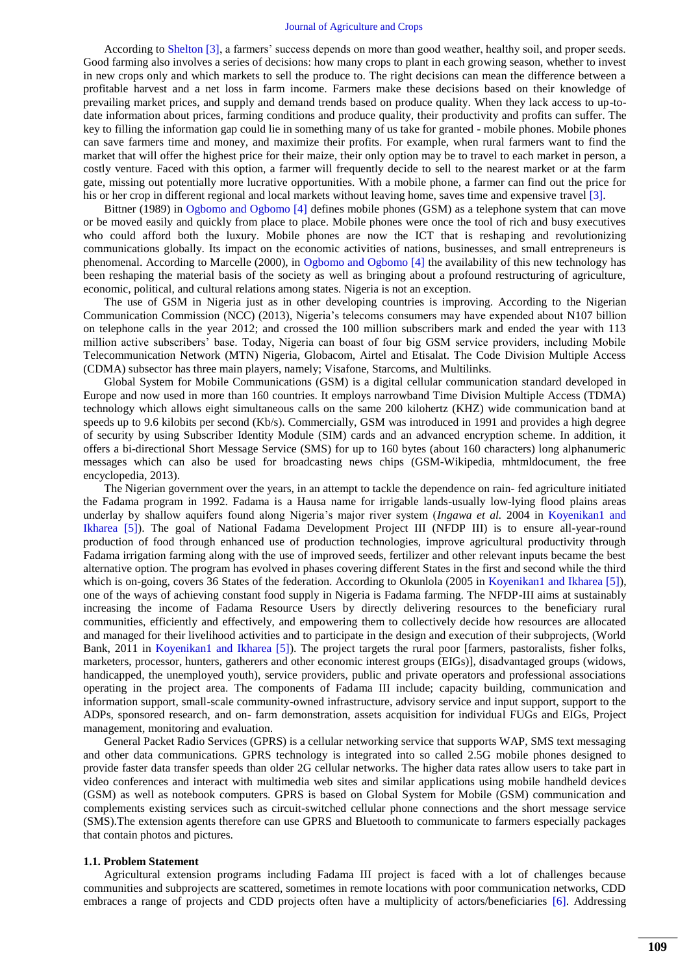According to [Shelton \[3\],](#page-7-0) a farmers' success depends on more than good weather, healthy soil, and proper seeds. Good farming also involves a series of decisions: how many crops to plant in each growing season, whether to invest in new crops only and which markets to sell the produce to. The right decisions can mean the difference between a profitable harvest and a net loss in farm income. Farmers make these decisions based on their knowledge of prevailing market prices, and supply and demand trends based on produce quality. When they lack access to up-todate information about prices, farming conditions and produce quality, their productivity and profits can suffer. The key to filling the information gap could lie in something many of us take for granted - mobile phones. Mobile phones can save farmers time and money, and maximize their profits. For example, when rural farmers want to find the market that will offer the highest price for their maize, their only option may be to travel to each market in person, a costly venture. Faced with this option, a farmer will frequently decide to sell to the nearest market or at the farm gate, missing out potentially more lucrative opportunities. With a mobile phone, a farmer can find out the price for his or her crop in different regional and local markets without leaving home, saves time and expensive travel [\[3\]](#page-7-0).

Bittner (1989) in [Ogbomo and Ogbomo \[4\]](#page-7-1) defines mobile phones (GSM) as a telephone system that can move or be moved easily and quickly from place to place. Mobile phones were once the tool of rich and busy executives who could afford both the luxury. Mobile phones are now the ICT that is reshaping and revolutionizing communications globally. Its impact on the economic activities of nations, businesses, and small entrepreneurs is phenomenal. According to Marcelle (2000), in [Ogbomo and Ogbomo \[4\]](#page-7-1) the availability of this new technology has been reshaping the material basis of the society as well as bringing about a profound restructuring of agriculture, economic, political, and cultural relations among states. Nigeria is not an exception.

The use of GSM in Nigeria just as in other developing countries is improving. According to the Nigerian Communication Commission (NCC) (2013), Nigeria's telecoms consumers may have expended about N107 billion on telephone calls in the year 2012; and crossed the 100 million subscribers mark and ended the year with 113 million active subscribers' base. Today, Nigeria can boast of four big GSM service providers, including Mobile Telecommunication Network (MTN) Nigeria, Globacom, Airtel and Etisalat. The Code Division Multiple Access (CDMA) subsector has three main players, namely; Visafone, Starcoms, and Multilinks.

Global System for Mobile Communications (GSM) is a digital cellular communication standard developed in Europe and now used in more than 160 countries. It employs narrowband Time Division Multiple Access (TDMA) technology which allows eight simultaneous calls on the same 200 kilohertz (KHZ) wide communication band at speeds up to 9.6 kilobits per second (Kb/s). Commercially, GSM was introduced in 1991 and provides a high degree of security by using Subscriber Identity Module (SIM) cards and an advanced encryption scheme. In addition, it offers a bi-directional Short Message Service (SMS) for up to 160 bytes (about 160 characters) long alphanumeric messages which can also be used for broadcasting news chips (GSM-Wikipedia, mhtmldocument, the free encyclopedia, 2013).

The Nigerian government over the years, in an attempt to tackle the dependence on rain- fed agriculture initiated the Fadama program in 1992. Fadama is a Hausa name for irrigable lands-usually low-lying flood plains areas underlay by shallow aquifers found along Nigeria's major river system (*Ingawa et al.* 2004 in [Koyenikan1 and](#page-7-2)  Ikharea [5]). The goal of National Fadama Development Project III (NFDP III) is to ensure all-year-round production of food through enhanced use of production technologies, improve agricultural productivity through Fadama irrigation farming along with the use of improved seeds, fertilizer and other relevant inputs became the best alternative option. The program has evolved in phases covering different States in the first and second while the third which is on-going, covers 36 States of the federation. According to Okunlola (2005 in [Koyenikan1 and Ikharea \[5\]\)](#page-7-2), one of the ways of achieving constant food supply in Nigeria is Fadama farming. The NFDP-III aims at sustainably increasing the income of Fadama Resource Users by directly delivering resources to the beneficiary rural communities, efficiently and effectively, and empowering them to collectively decide how resources are allocated and managed for their livelihood activities and to participate in the design and execution of their subprojects, (World Bank, 2011 in [Koyenikan1 and Ikharea \[5\]\)](#page-7-2). The project targets the rural poor [farmers, pastoralists, fisher folks, marketers, processor, hunters, gatherers and other economic interest groups (EIGs)], disadvantaged groups (widows, handicapped, the unemployed youth), service providers, public and private operators and professional associations operating in the project area. The components of Fadama III include; capacity building, communication and information support, small-scale community-owned infrastructure, advisory service and input support, support to the ADPs, sponsored research, and on- farm demonstration, assets acquisition for individual FUGs and EIGs, Project management, monitoring and evaluation.

General Packet Radio Services (GPRS) is a cellular networking service that supports WAP, SMS text messaging and other data communications. GPRS technology is integrated into so called 2.5G mobile phones designed to provide faster data transfer speeds than older 2G cellular networks. The higher data rates allow users to take part in video conferences and interact with multimedia web sites and similar applications using mobile handheld devices (GSM) as well as notebook computers. GPRS is based on Global System for Mobile (GSM) communication and complements existing services such as circuit-switched cellular phone connections and the short message service (SMS).The extension agents therefore can use GPRS and Bluetooth to communicate to farmers especially packages that contain photos and pictures.

#### **1.1. Problem Statement**

Agricultural extension programs including Fadama III project is faced with a lot of challenges because communities and subprojects are scattered, sometimes in remote locations with poor communication networks, CDD embraces a range of projects and CDD projects often have a multiplicity of actors/beneficiaries [\[6\]](#page-7-3). Addressing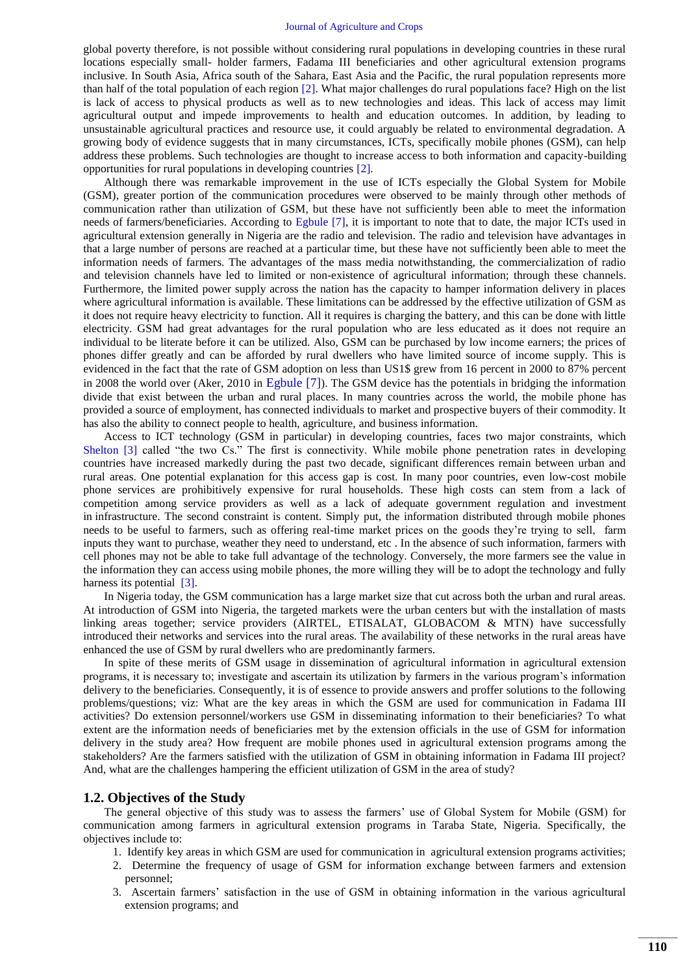global poverty therefore, is not possible without considering rural populations in developing countries in these rural locations especially small- holder farmers, Fadama III beneficiaries and other agricultural extension programs inclusive. In South Asia, Africa south of the Sahara, East Asia and the Pacific, the rural population represents more than half of the total population of each region [\[2\]](#page-6-1). What major challenges do rural populations face? High on the list is lack of access to physical products as well as to new technologies and ideas. This lack of access may limit agricultural output and impede improvements to health and education outcomes. In addition, by leading to unsustainable agricultural practices and resource use, it could arguably be related to environmental degradation. A growing body of evidence suggests that in many circumstances, ICTs, specifically mobile phones (GSM), can help address these problems. Such technologies are thought to increase access to both information and capacity-building opportunities for rural populations in developing countries [\[2\]](#page-6-1).

Although there was remarkable improvement in the use of ICTs especially the Global System for Mobile (GSM), greater portion of the communication procedures were observed to be mainly through other methods of communication rather than utilization of GSM, but these have not sufficiently been able to meet the information needs of farmers/beneficiaries. According to [Egbule \[7\],](#page-7-4) it is important to note that to date, the major ICTs used in agricultural extension generally in Nigeria are the radio and television. The radio and television have advantages in that a large number of persons are reached at a particular time, but these have not sufficiently been able to meet the information needs of farmers. The advantages of the mass media notwithstanding, the commercialization of radio and television channels have led to limited or non-existence of agricultural information; through these channels. Furthermore, the limited power supply across the nation has the capacity to hamper information delivery in places where agricultural information is available. These limitations can be addressed by the effective utilization of GSM as it does not require heavy electricity to function. All it requires is charging the battery, and this can be done with little electricity. GSM had great advantages for the rural population who are less educated as it does not require an individual to be literate before it can be utilized. Also, GSM can be purchased by low income earners; the prices of phones differ greatly and can be afforded by rural dwellers who have limited source of income supply. This is evidenced in the fact that the rate of GSM adoption on less than US1\$ grew from 16 percent in 2000 to 87% percent in 2008 the world over (Aker, 2010 in [Egbule \[7\]](#page-7-4)). The GSM device has the potentials in bridging the information divide that exist between the urban and rural places. In many countries across the world, the mobile phone has provided a source of employment, has connected individuals to market and prospective buyers of their commodity. It has also the ability to connect people to health, agriculture, and business information.

Access to ICT technology (GSM in particular) in developing countries, faces two major constraints, which [Shelton \[3\]](#page-7-0) called "the two Cs." The first is connectivity. While mobile phone penetration rates in developing countries have increased markedly during the past two decade, significant differences remain between urban and rural areas. One potential explanation for this access gap is cost. In many poor countries, even low-cost mobile phone services are prohibitively expensive for rural households. These high costs can stem from a lack of competition among service providers as well as a lack of adequate government regulation and investment in infrastructure. The second constraint is content. Simply put, the information distributed through mobile phones needs to be useful to farmers, such as offering real-time market prices on the goods they're trying to sell, farm inputs they want to purchase, weather they need to understand, etc . In the absence of such information, farmers with cell phones may not be able to take full advantage of the technology. Conversely, the more farmers see the value in the information they can access using mobile phones, the more willing they will be to adopt the technology and fully harness its potential [\[3\]](#page-7-0).

In Nigeria today, the GSM communication has a large market size that cut across both the urban and rural areas. At introduction of GSM into Nigeria, the targeted markets were the urban centers but with the installation of masts linking areas together; service providers (AIRTEL, ETISALAT, GLOBACOM & MTN) have successfully introduced their networks and services into the rural areas. The availability of these networks in the rural areas have enhanced the use of GSM by rural dwellers who are predominantly farmers.

In spite of these merits of GSM usage in dissemination of agricultural information in agricultural extension programs, it is necessary to; investigate and ascertain its utilization by farmers in the various program's information delivery to the beneficiaries. Consequently, it is of essence to provide answers and proffer solutions to the following problems/questions; viz: What are the key areas in which the GSM are used for communication in Fadama III activities? Do extension personnel/workers use GSM in disseminating information to their beneficiaries? To what extent are the information needs of beneficiaries met by the extension officials in the use of GSM for information delivery in the study area? How frequent are mobile phones used in agricultural extension programs among the stakeholders? Are the farmers satisfied with the utilization of GSM in obtaining information in Fadama III project? And, what are the challenges hampering the efficient utilization of GSM in the area of study?

#### **1.2. Objectives of the Study**

The general objective of this study was to assess the farmers' use of Global System for Mobile (GSM) for communication among farmers in agricultural extension programs in Taraba State, Nigeria. Specifically, the objectives include to:

- 1. Identify key areas in which GSM are used for communication in agricultural extension programs activities;
- 2. Determine the frequency of usage of GSM for information exchange between farmers and extension personnel;
- 3. Ascertain farmers' satisfaction in the use of GSM in obtaining information in the various agricultural extension programs; and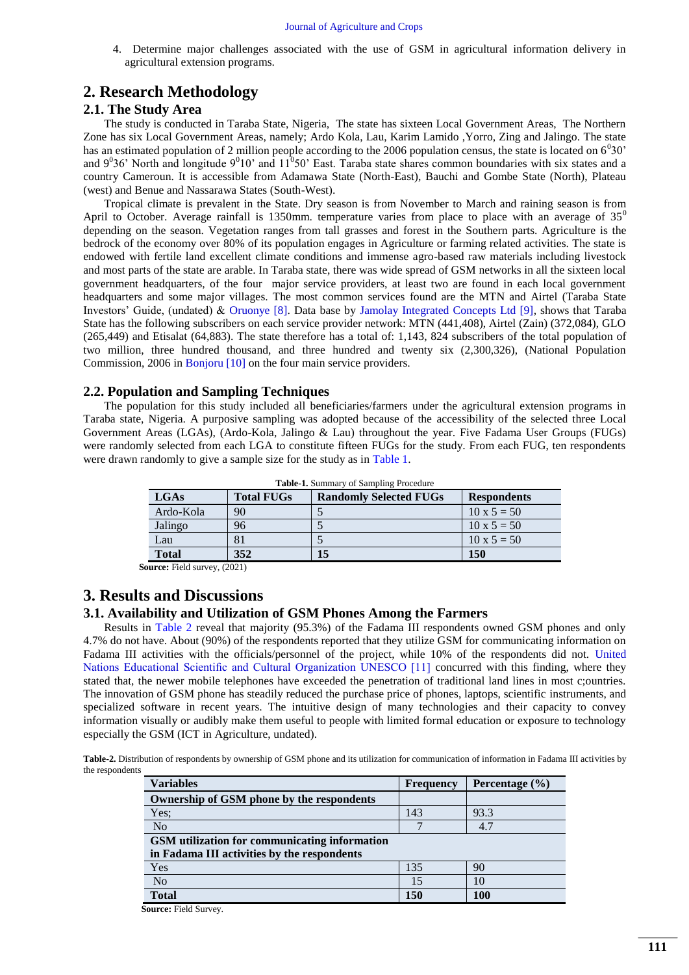4. Determine major challenges associated with the use of GSM in agricultural information delivery in agricultural extension programs.

## **2. Research Methodology**

### **2.1. The Study Area**

The study is conducted in Taraba State, Nigeria, The state has sixteen Local Government Areas, The Northern Zone has six Local Government Areas, namely; Ardo Kola, Lau, Karim Lamido ,Yorro, Zing and Jalingo. The state has an estimated population of 2 million people according to the 2006 population census, the state is located on  $6^030'$ and  $9^036'$  North and longitude  $9^010'$  and  $11^050'$  East. Taraba state shares common boundaries with six states and a country Cameroun. It is accessible from Adamawa State (North-East), Bauchi and Gombe State (North), Plateau (west) and Benue and Nassarawa States (South-West).

Tropical climate is prevalent in the State. Dry season is from November to March and raining season is from April to October. Average rainfall is 1350mm. temperature varies from place to place with an average of  $35^\circ$ depending on the season. Vegetation ranges from tall grasses and forest in the Southern parts. Agriculture is the bedrock of the economy over 80% of its population engages in Agriculture or farming related activities. The state is endowed with fertile land excellent climate conditions and immense agro-based raw materials including livestock and most parts of the state are arable. In Taraba state, there was wide spread of GSM networks in all the sixteen local government headquarters, of the four major service providers, at least two are found in each local government headquarters and some major villages. The most common services found are the MTN and Airtel (Taraba State Investors' Guide, (undated) & [Oruonye \[8\].](#page-7-5) Data base by [Jamolay Integrated Concepts Ltd \[9\],](#page-7-6) shows that Taraba State has the following subscribers on each service provider network: MTN (441,408), Airtel (Zain) (372,084), GLO (265,449) and Etisalat (64,883). The state therefore has a total of: 1,143, 824 subscribers of the total population of two million, three hundred thousand, and three hundred and twenty six (2,300,326), (National Population Commission, 2006 in [Bonjoru \[10\]](#page-7-7) on the four main service providers.

### **2.2. Population and Sampling Techniques**

The population for this study included all beneficiaries/farmers under the agricultural extension programs in Taraba state, Nigeria. A purposive sampling was adopted because of the accessibility of the selected three Local Government Areas (LGAs), (Ardo-Kola, Jalingo & Lau) throughout the year. Five Fadama User Groups (FUGs) were randomly selected from each LGA to constitute fifteen FUGs for the study. From each FUG, ten respondents were drawn randomly to give a sample size for the study as in [Table 1.](#page-3-0)

<span id="page-3-0"></span>

| <b>LGAs</b>  | <b>Total FUGs</b> | <b>Randomly Selected FUGs</b> | <b>Respondents</b> |
|--------------|-------------------|-------------------------------|--------------------|
| Ardo-Kola    | 90                |                               | $10 \times 5 = 50$ |
| Jalingo      | 96                |                               | $10 \times 5 = 50$ |
| Lau          |                   |                               | $10 \times 5 = 50$ |
| <b>Total</b> | 352               | I5                            | 150                |

**Table-1.** Summary of Sampling Procedure

**Source:** Field survey, (2021)

## **3. Results and Discussions**

### **3.1. Availability and Utilization of GSM Phones Among the Farmers**

Results in [Table 2](#page-3-1) reveal that majority (95.3%) of the Fadama III respondents owned GSM phones and only 4.7% do not have. About (90%) of the respondents reported that they utilize GSM for communicating information on Fadama III activities with the officials/personnel of the project, while 10% of the respondents did not. [United](#page-7-8)  Nations Educational Scientific and Cultural Organization UNESCO [11] concurred with this finding, where they stated that, the newer mobile telephones have exceeded the penetration of traditional land lines in most c;ountries. The innovation of GSM phone has steadily reduced the purchase price of phones, laptops, scientific instruments, and specialized software in recent years. The intuitive design of many technologies and their capacity to convey information visually or audibly make them useful to people with limited formal education or exposure to technology especially the GSM (ICT in Agriculture, undated).

<span id="page-3-1"></span>**Table-2.** Distribution of respondents by ownership of GSM phone and its utilization for communication of information in Fadama III activities by the respondents

| <b>Variables</b>                              | Frequency | Percentage $(\% )$ |  |
|-----------------------------------------------|-----------|--------------------|--|
| Ownership of GSM phone by the respondents     |           |                    |  |
| Yes:                                          | 143       | 93.3               |  |
| N <sub>o</sub>                                |           | 4.7                |  |
| GSM utilization for communicating information |           |                    |  |
| in Fadama III activities by the respondents   |           |                    |  |
| Yes                                           | 135       | 90                 |  |
| N <sub>o</sub>                                | 15        | 10                 |  |
| <b>Total</b>                                  | 150       | 100                |  |

**Source:** Field Survey.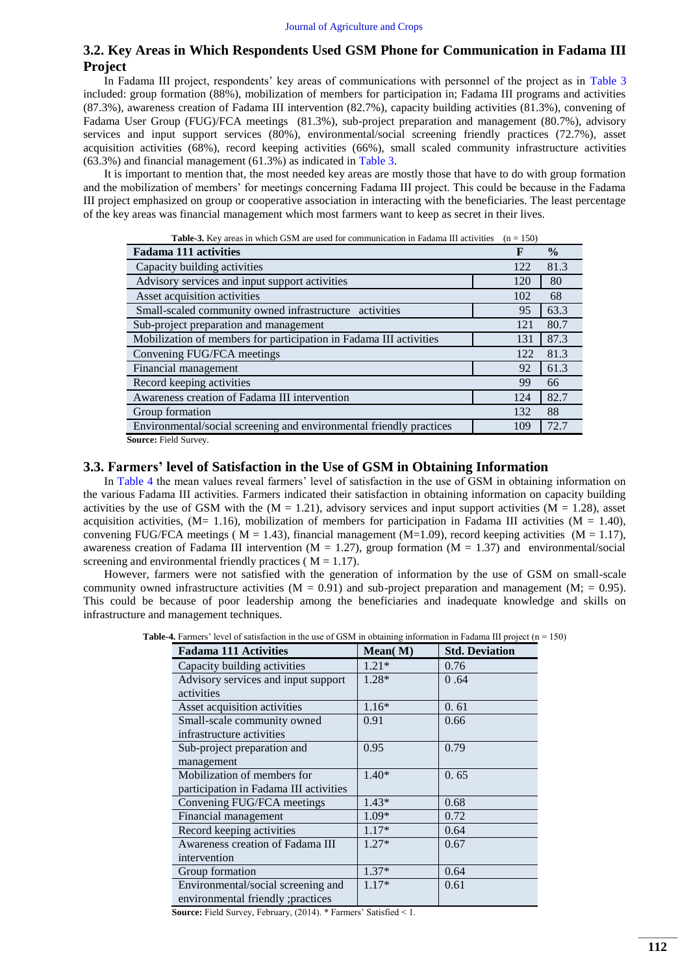### **3.2. Key Areas in Which Respondents Used GSM Phone for Communication in Fadama III Project**

In Fadama III project, respondents' key areas of communications with personnel of the project as in [Table 3](#page-4-0) included: group formation (88%), mobilization of members for participation in; Fadama III programs and activities (87.3%), awareness creation of Fadama III intervention (82.7%), capacity building activities (81.3%), convening of Fadama User Group (FUG)/FCA meetings (81.3%), sub-project preparation and management (80.7%), advisory services and input support services (80%), environmental/social screening friendly practices (72.7%), asset acquisition activities (68%), record keeping activities (66%), small scaled community infrastructure activities (63.3%) and financial management (61.3%) as indicated in [Table 3.](#page-4-0)

It is important to mention that, the most needed key areas are mostly those that have to do with group formation and the mobilization of members' for meetings concerning Fadama III project. This could be because in the Fadama III project emphasized on group or cooperative association in interacting with the beneficiaries. The least percentage of the key areas was financial management which most farmers want to keep as secret in their lives.

<span id="page-4-0"></span>

| <b>Table-3.</b> Key areas in which GSM are used for communication in Fadama III activities<br>$(n = 150)$ |     |               |  |
|-----------------------------------------------------------------------------------------------------------|-----|---------------|--|
| <b>Fadama 111 activities</b>                                                                              | F   | $\frac{0}{0}$ |  |
| Capacity building activities                                                                              | 122 | 81.3          |  |
| Advisory services and input support activities                                                            | 120 | 80            |  |
| Asset acquisition activities                                                                              | 102 | 68            |  |
| Small-scaled community owned infrastructure activities                                                    | 95  | 63.3          |  |
| Sub-project preparation and management                                                                    | 121 | 80.7          |  |
| Mobilization of members for participation in Fadama III activities                                        | 131 | 87.3          |  |
| Convening FUG/FCA meetings                                                                                | 122 | 81.3          |  |
| Financial management                                                                                      | 92  | 61.3          |  |
| Record keeping activities                                                                                 | 99  | 66            |  |
| Awareness creation of Fadama III intervention                                                             | 124 | 82.7          |  |
| Group formation                                                                                           | 132 | 88            |  |
| Environmental/social screening and environmental friendly practices                                       | 109 | 72.7          |  |
| Source: Field Survey.                                                                                     |     |               |  |

**3.3. Farmers' level of Satisfaction in the Use of GSM in Obtaining Information** 

In [Table 4](#page-4-1) the mean values reveal farmers' level of satisfaction in the use of GSM in obtaining information on the various Fadama III activities. Farmers indicated their satisfaction in obtaining information on capacity building activities by the use of GSM with the  $(M = 1.21)$ , advisory services and input support activities  $(M = 1.28)$ , asset acquisition activities, (M= 1.16), mobilization of members for participation in Fadama III activities (M = 1.40), convening FUG/FCA meetings ( $M = 1.43$ ), financial management ( $M=1.09$ ), record keeping activities ( $M = 1.17$ ), awareness creation of Fadama III intervention ( $M = 1.27$ ), group formation ( $M = 1.37$ ) and environmental/social screening and environmental friendly practices ( $M = 1.17$ ).

<span id="page-4-1"></span>However, farmers were not satisfied with the generation of information by the use of GSM on small-scale community owned infrastructure activities  $(M = 0.91)$  and sub-project preparation and management  $(M; = 0.95)$ . This could be because of poor leadership among the beneficiaries and inadequate knowledge and skills on infrastructure and management techniques.

| <b>Table-4.</b> Farmers' level of satisfaction in the use of GSM in obtaining information in Fadama III project $(n = 150)$ |  |
|-----------------------------------------------------------------------------------------------------------------------------|--|
|-----------------------------------------------------------------------------------------------------------------------------|--|

| <b>Fadama 111 Activities</b>           | Mean(M) | <b>Std. Deviation</b> |
|----------------------------------------|---------|-----------------------|
| Capacity building activities           | $1.21*$ | 0.76                  |
| Advisory services and input support    | 1.28*   | 0.64                  |
| activities                             |         |                       |
| Asset acquisition activities           | $1.16*$ | 0.61                  |
| Small-scale community owned            | 0.91    | 0.66                  |
| infrastructure activities              |         |                       |
| Sub-project preparation and            | 0.95    | 0.79                  |
| management                             |         |                       |
| Mobilization of members for            | $1.40*$ | 0.65                  |
| participation in Fadama III activities |         |                       |
| Convening FUG/FCA meetings             | $1.43*$ | 0.68                  |
| Financial management                   | $1.09*$ | 0.72                  |
| Record keeping activities              | $1.17*$ | 0.64                  |
| Awareness creation of Fadama III       | $1.27*$ | 0.67                  |
| intervention                           |         |                       |
| Group formation                        | $1.37*$ | 0.64                  |
| Environmental/social screening and     | $1.17*$ | 0.61                  |
| environmental friendly ; practices     |         |                       |

**Source:** Field Survey, February, (2014). \* Farmers' Satisfied < 1.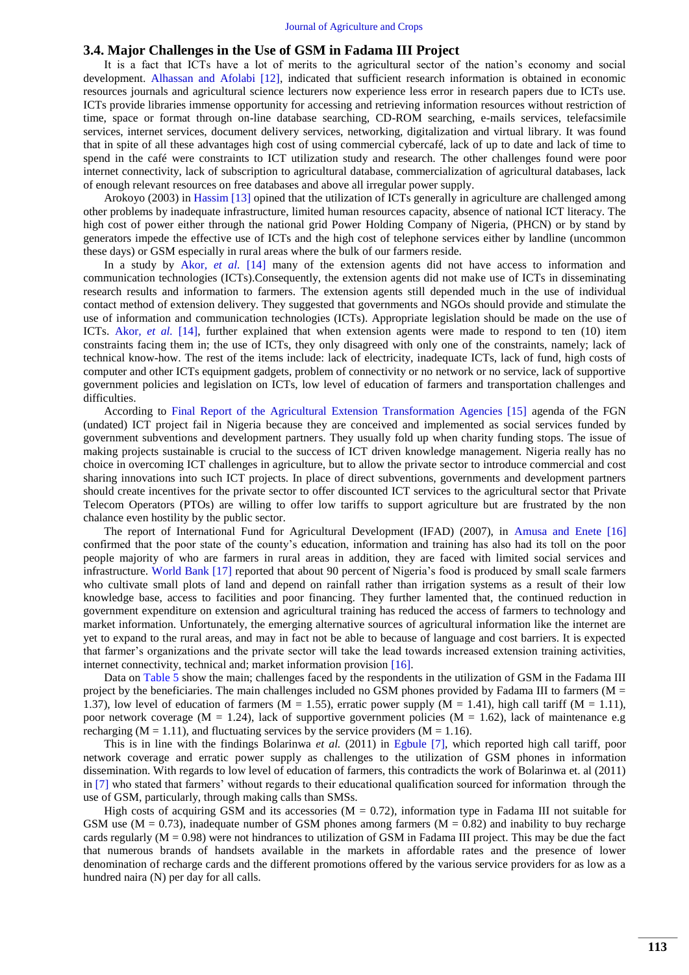#### **3.4. Major Challenges in the Use of GSM in Fadama III Project**

It is a fact that ICTs have a lot of merits to the agricultural sector of the nation's economy and social development. [Alhassan and Afolabi \[12\],](#page-7-9) indicated that sufficient research information is obtained in economic resources journals and agricultural science lecturers now experience less error in research papers due to ICTs use. ICTs provide libraries immense opportunity for accessing and retrieving information resources without restriction of time, space or format through on-line database searching, CD-ROM searching, e-mails services, telefacsimile services, internet services, document delivery services, networking, digitalization and virtual library. It was found that in spite of all these advantages high cost of using commercial cybercafé, lack of up to date and lack of time to spend in the café were constraints to ICT utilization study and research. The other challenges found were poor internet connectivity, lack of subscription to agricultural database, commercialization of agricultural databases, lack of enough relevant resources on free databases and above all irregular power supply.

Arokoyo (2003) in [Hassim \[13\]](#page-7-10) opined that the utilization of ICTs generally in agriculture are challenged among other problems by inadequate infrastructure, limited human resources capacity, absence of national ICT literacy. The high cost of power either through the national grid Power Holding Company of Nigeria, (PHCN) or by stand by generators impede the effective use of ICTs and the high cost of telephone services either by landline (uncommon these days) or GSM especially in rural areas where the bulk of our farmers reside.

In a study by Akor*[, et al.](#page-7-11)* [14] many of the extension agents did not have access to information and communication technologies (ICTs).Consequently, the extension agents did not make use of ICTs in disseminating research results and information to farmers. The extension agents still depended much in the use of individual contact method of extension delivery. They suggested that governments and NGOs should provide and stimulate the use of information and communication technologies (ICTs). Appropriate legislation should be made on the use of ICTs. Akor*[, et al.](#page-7-11)* [14], further explained that when extension agents were made to respond to ten (10) item constraints facing them in; the use of ICTs, they only disagreed with only one of the constraints, namely; lack of technical know-how. The rest of the items include: lack of electricity, inadequate ICTs, lack of fund, high costs of computer and other ICTs equipment gadgets, problem of connectivity or no network or no service, lack of supportive government policies and legislation on ICTs, low level of education of farmers and transportation challenges and difficulties.

According to [Final Report of the Agricultural Extension Transformation Agencies \[15\]](#page-7-12) agenda of the FGN (undated) ICT project fail in Nigeria because they are conceived and implemented as social services funded by government subventions and development partners. They usually fold up when charity funding stops. The issue of making projects sustainable is crucial to the success of ICT driven knowledge management. Nigeria really has no choice in overcoming ICT challenges in agriculture, but to allow the private sector to introduce commercial and cost sharing innovations into such ICT projects. In place of direct subventions, governments and development partners should create incentives for the private sector to offer discounted ICT services to the agricultural sector that Private Telecom Operators (PTOs) are willing to offer low tariffs to support agriculture but are frustrated by the non chalance even hostility by the public sector.

The report of International Fund for Agricultural Development (IFAD) (2007), in [Amusa and Enete \[16\]](#page-7-13) confirmed that the poor state of the county's education, information and training has also had its toll on the poor people majority of who are farmers in rural areas in addition, they are faced with limited social services and infrastructure. [World Bank \[17\]](#page-7-14) reported that about 90 percent of Nigeria's food is produced by small scale farmers who cultivate small plots of land and depend on rainfall rather than irrigation systems as a result of their low knowledge base, access to facilities and poor financing. They further lamented that, the continued reduction in government expenditure on extension and agricultural training has reduced the access of farmers to technology and market information. Unfortunately, the emerging alternative sources of agricultural information like the internet are yet to expand to the rural areas, and may in fact not be able to because of language and cost barriers. It is expected that farmer's organizations and the private sector will take the lead towards increased extension training activities, internet connectivity, technical and; market information provision [\[16\]](#page-7-13).

Data on [Table 5](#page-5-0) show the main; challenges faced by the respondents in the utilization of GSM in the Fadama III project by the beneficiaries. The main challenges included no GSM phones provided by Fadama III to farmers ( $M =$ 1.37), low level of education of farmers ( $M = 1.55$ ), erratic power supply ( $M = 1.41$ ), high call tariff ( $M = 1.11$ ), poor network coverage (M = 1.24), lack of supportive government policies (M = 1.62), lack of maintenance e.g recharging ( $M = 1.11$ ), and fluctuating services by the service providers ( $M = 1.16$ ).

This is in line with the findings Bolarinwa *et al.* (2011) in [Egbule \[7\],](#page-7-4) which reported high call tariff, poor network coverage and erratic power supply as challenges to the utilization of GSM phones in information dissemination. With regards to low level of education of farmers, this contradicts the work of Bolarinwa et. al (2011) in [\[7\]](#page-7-4) who stated that farmers' without regards to their educational qualification sourced for information through the use of GSM, particularly, through making calls than SMSs.

<span id="page-5-0"></span>High costs of acquiring GSM and its accessories ( $M = 0.72$ ), information type in Fadama III not suitable for GSM use ( $M = 0.73$ ), inadequate number of GSM phones among farmers ( $M = 0.82$ ) and inability to buy recharge cards regularly  $(M = 0.98)$  were not hindrances to utilization of GSM in Fadama III project. This may be due the fact that numerous brands of handsets available in the markets in affordable rates and the presence of lower denomination of recharge cards and the different promotions offered by the various service providers for as low as a hundred naira (N) per day for all calls.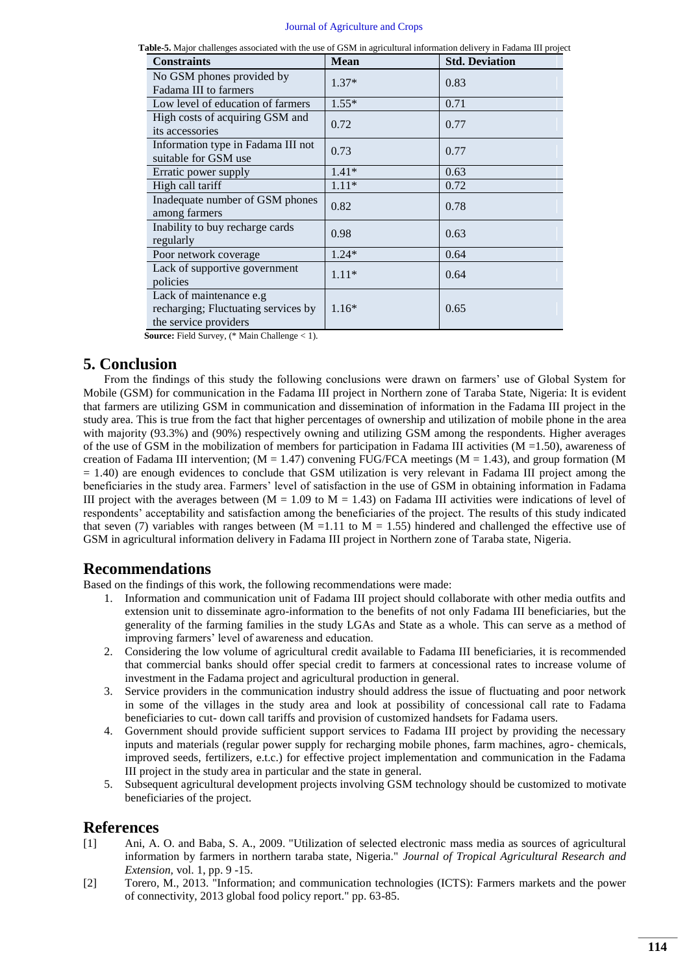| Table-5. Major challenges associated with the use of GSM in agricultural information delivery in Fadama III project |  |  |
|---------------------------------------------------------------------------------------------------------------------|--|--|
|                                                                                                                     |  |  |

| <b>Constraints</b>                                                                      | <b>Mean</b> | <b>Std. Deviation</b> |
|-----------------------------------------------------------------------------------------|-------------|-----------------------|
| No GSM phones provided by<br>Fadama III to farmers                                      | $1.37*$     | 0.83                  |
| Low level of education of farmers                                                       | $1.55*$     | 0.71                  |
| High costs of acquiring GSM and<br>its accessories                                      | 0.72        | 0.77                  |
| Information type in Fadama III not<br>suitable for GSM use                              | 0.73        | 0.77                  |
| Erratic power supply                                                                    | $1.41*$     | 0.63                  |
| High call tariff                                                                        | $1.11*$     | 0.72                  |
| Inadequate number of GSM phones<br>among farmers                                        | 0.82        | 0.78                  |
| Inability to buy recharge cards<br>regularly                                            | 0.98        | 0.63                  |
| Poor network coverage                                                                   | $1.24*$     | 0.64                  |
| Lack of supportive government<br>policies                                               | $1.11*$     | 0.64                  |
| Lack of maintenance e.g<br>recharging; Fluctuating services by<br>the service providers | $1.16*$     | 0.65                  |

**Source:** Field Survey, (\* Main Challenge < 1).

## **5. Conclusion**

From the findings of this study the following conclusions were drawn on farmers' use of Global System for Mobile (GSM) for communication in the Fadama III project in Northern zone of Taraba State, Nigeria: It is evident that farmers are utilizing GSM in communication and dissemination of information in the Fadama III project in the study area. This is true from the fact that higher percentages of ownership and utilization of mobile phone in the area with majority (93.3%) and (90%) respectively owning and utilizing GSM among the respondents. Higher averages of the use of GSM in the mobilization of members for participation in Fadama III activities ( $M = 1.50$ ), awareness of creation of Fadama III intervention; ( $M = 1.47$ ) convening FUG/FCA meetings ( $M = 1.43$ ), and group formation (M = 1.40) are enough evidences to conclude that GSM utilization is very relevant in Fadama III project among the beneficiaries in the study area. Farmers' level of satisfaction in the use of GSM in obtaining information in Fadama III project with the averages between ( $M = 1.09$  to  $M = 1.43$ ) on Fadama III activities were indications of level of respondents' acceptability and satisfaction among the beneficiaries of the project. The results of this study indicated that seven (7) variables with ranges between (M = 1.11 to M = 1.55) hindered and challenged the effective use of GSM in agricultural information delivery in Fadama III project in Northern zone of Taraba state, Nigeria.

## **Recommendations**

Based on the findings of this work, the following recommendations were made:

- 1. Information and communication unit of Fadama III project should collaborate with other media outfits and extension unit to disseminate agro-information to the benefits of not only Fadama III beneficiaries, but the generality of the farming families in the study LGAs and State as a whole. This can serve as a method of improving farmers' level of awareness and education.
- 2. Considering the low volume of agricultural credit available to Fadama III beneficiaries, it is recommended that commercial banks should offer special credit to farmers at concessional rates to increase volume of investment in the Fadama project and agricultural production in general.
- 3. Service providers in the communication industry should address the issue of fluctuating and poor network in some of the villages in the study area and look at possibility of concessional call rate to Fadama beneficiaries to cut- down call tariffs and provision of customized handsets for Fadama users.
- 4. Government should provide sufficient support services to Fadama III project by providing the necessary inputs and materials (regular power supply for recharging mobile phones, farm machines, agro- chemicals, improved seeds, fertilizers, e.t.c.) for effective project implementation and communication in the Fadama III project in the study area in particular and the state in general.
- 5. Subsequent agricultural development projects involving GSM technology should be customized to motivate beneficiaries of the project.

# **References**

- <span id="page-6-0"></span>[1] Ani, A. O. and Baba, S. A., 2009. "Utilization of selected electronic mass media as sources of agricultural information by farmers in northern taraba state, Nigeria." *Journal of Tropical Agricultural Research and Extension,* vol. 1, pp. 9 -15.
- <span id="page-6-1"></span>[2] Torero, M., 2013. "Information; and communication technologies (ICTS): Farmers markets and the power of connectivity, 2013 global food policy report." pp. 63-85.